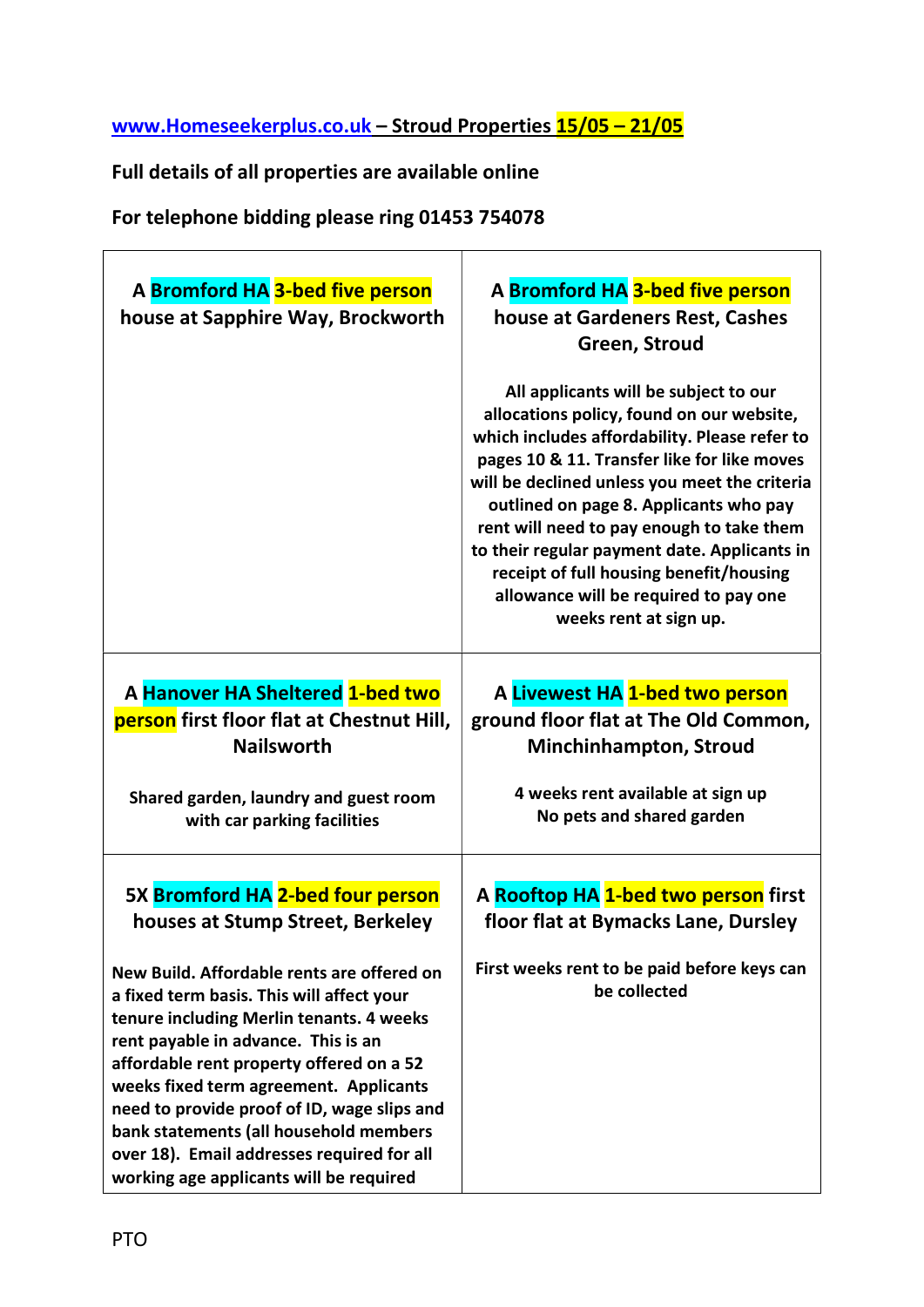## www.Homeseekerplus.co.uk – Stroud Properties 15/05 – 21/05

## Full details of all properties are available online

For telephone bidding please ring 01453 754078

| A Bromford HA 3-bed five person<br>house at Sapphire Way, Brockworth                                                                                                                                                                                                                                                                                                                                                                                                                                                       | A Bromford HA 3-bed five person<br>house at Gardeners Rest, Cashes<br>Green, Stroud<br>All applicants will be subject to our<br>allocations policy, found on our website,<br>which includes affordability. Please refer to<br>pages 10 & 11. Transfer like for like moves<br>will be declined unless you meet the criteria<br>outlined on page 8. Applicants who pay<br>rent will need to pay enough to take them<br>to their regular payment date. Applicants in<br>receipt of full housing benefit/housing<br>allowance will be required to pay one<br>weeks rent at sign up. |
|----------------------------------------------------------------------------------------------------------------------------------------------------------------------------------------------------------------------------------------------------------------------------------------------------------------------------------------------------------------------------------------------------------------------------------------------------------------------------------------------------------------------------|---------------------------------------------------------------------------------------------------------------------------------------------------------------------------------------------------------------------------------------------------------------------------------------------------------------------------------------------------------------------------------------------------------------------------------------------------------------------------------------------------------------------------------------------------------------------------------|
| A Hanover HA Sheltered 1-bed two<br>person first floor flat at Chestnut Hill,<br><b>Nailsworth</b><br>Shared garden, laundry and guest room<br>with car parking facilities                                                                                                                                                                                                                                                                                                                                                 | A Livewest HA 1-bed two person<br>ground floor flat at The Old Common,<br><b>Minchinhampton, Stroud</b><br>4 weeks rent available at sign up<br>No pets and shared garden                                                                                                                                                                                                                                                                                                                                                                                                       |
| 5X Bromford HA 2-bed four person<br>houses at Stump Street, Berkeley<br>New Build. Affordable rents are offered on<br>a fixed term basis. This will affect your<br>tenure including Merlin tenants. 4 weeks<br>rent payable in advance. This is an<br>affordable rent property offered on a 52<br>weeks fixed term agreement. Applicants<br>need to provide proof of ID, wage slips and<br>bank statements (all household members<br>over 18). Email addresses required for all<br>working age applicants will be required | A Rooftop HA 1-bed two person first<br>floor flat at Bymacks Lane, Dursley<br>First weeks rent to be paid before keys can<br>be collected                                                                                                                                                                                                                                                                                                                                                                                                                                       |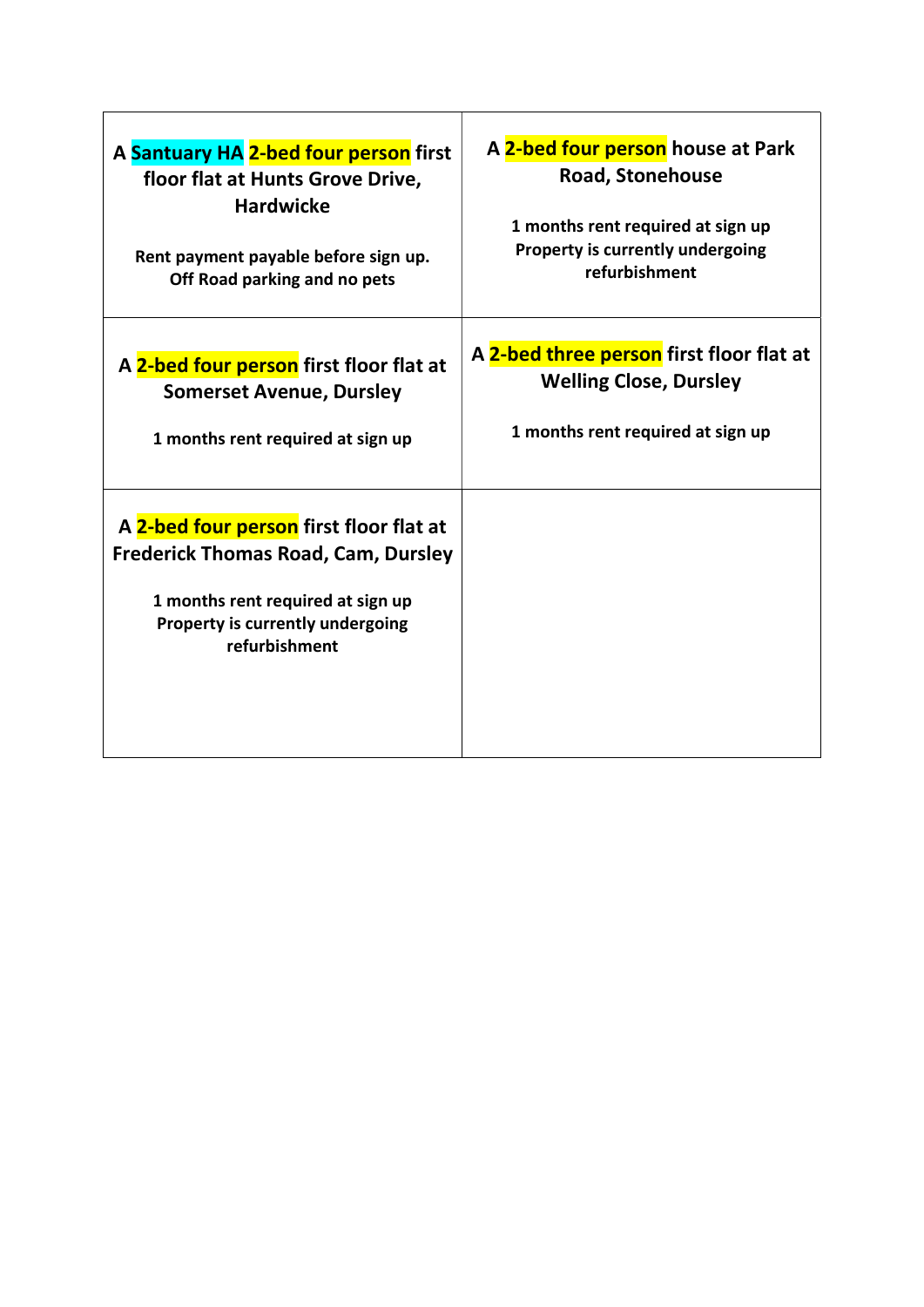| A Santuary HA 2-bed four person first                                                                                                                                           | A 2-bed four person house at Park        |
|---------------------------------------------------------------------------------------------------------------------------------------------------------------------------------|------------------------------------------|
| floor flat at Hunts Grove Drive,                                                                                                                                                | <b>Road, Stonehouse</b>                  |
| <b>Hardwicke</b>                                                                                                                                                                | 1 months rent required at sign up        |
| Rent payment payable before sign up.                                                                                                                                            | Property is currently undergoing         |
| Off Road parking and no pets                                                                                                                                                    | refurbishment                            |
| A 2-bed four person first floor flat at                                                                                                                                         | A 2-bed three person first floor flat at |
| <b>Somerset Avenue, Dursley</b>                                                                                                                                                 | <b>Welling Close, Dursley</b>            |
| 1 months rent required at sign up                                                                                                                                               | 1 months rent required at sign up        |
| A 2-bed four person first floor flat at<br><b>Frederick Thomas Road, Cam, Dursley</b><br>1 months rent required at sign up<br>Property is currently undergoing<br>refurbishment |                                          |

 $\overline{1}$ 

٦